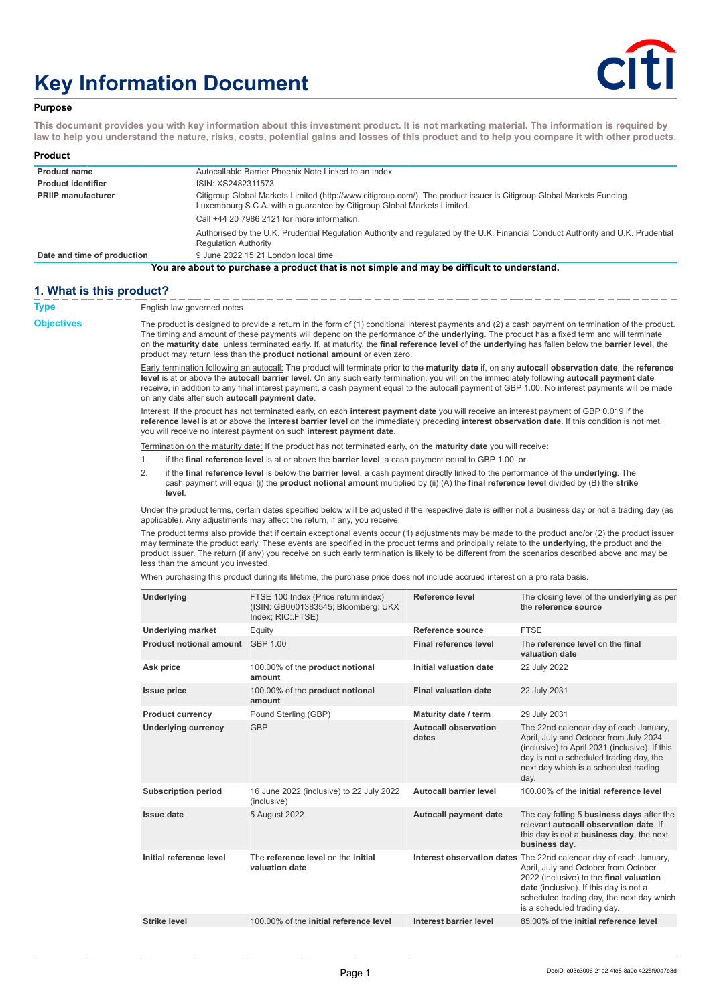# **Key Information Document**



## **Purpose**

**This document provides you with key information about this investment product. It is not marketing material. The information is required by law to help you understand the nature, risks, costs, potential gains and losses of this product and to help you compare it with other products.**

| <b>Product</b>              |                                                                                                                                                                                                 |  |
|-----------------------------|-------------------------------------------------------------------------------------------------------------------------------------------------------------------------------------------------|--|
| <b>Product name</b>         | Autocallable Barrier Phoenix Note Linked to an Index                                                                                                                                            |  |
| <b>Product identifier</b>   | ISIN: XS2482311573                                                                                                                                                                              |  |
| <b>PRIIP manufacturer</b>   | Citigroup Global Markets Limited (http://www.citigroup.com/). The product issuer is Citigroup Global Markets Funding<br>Luxembourg S.C.A. with a quarantee by Citigroup Global Markets Limited. |  |
|                             | Call +44 20 7986 2121 for more information.                                                                                                                                                     |  |
|                             | Authorised by the U.K. Prudential Regulation Authority and regulated by the U.K. Financial Conduct Authority and U.K. Prudential<br><b>Regulation Authority</b>                                 |  |
| Date and time of production | 9 June 2022 15:21 London local time                                                                                                                                                             |  |
|                             | You are about to purchase a product that is not simple and may be difficult to understand.                                                                                                      |  |

## **1. What is this product?**

| Type       | English law governed notes                                                                                                                                                                                                                                                                                                                                                                                                                                                                                                               |                                                                                                                                                                                                                                                                                                  |                                      |                                                                                                                                                                                                                                                                            |  |
|------------|------------------------------------------------------------------------------------------------------------------------------------------------------------------------------------------------------------------------------------------------------------------------------------------------------------------------------------------------------------------------------------------------------------------------------------------------------------------------------------------------------------------------------------------|--------------------------------------------------------------------------------------------------------------------------------------------------------------------------------------------------------------------------------------------------------------------------------------------------|--------------------------------------|----------------------------------------------------------------------------------------------------------------------------------------------------------------------------------------------------------------------------------------------------------------------------|--|
| Objectives | The product is designed to provide a return in the form of (1) conditional interest payments and (2) a cash payment on termination of the product.<br>The timing and amount of these payments will depend on the performance of the <b>underlying</b> . The product has a fixed term and will terminate<br>on the maturity date, unless terminated early. If, at maturity, the final reference level of the underlying has fallen below the barrier level, the<br>product may return less than the product notional amount or even zero. |                                                                                                                                                                                                                                                                                                  |                                      |                                                                                                                                                                                                                                                                            |  |
|            | Early termination following an autocall: The product will terminate prior to the maturity date if, on any autocall observation date, the reference<br>level is at or above the autocall barrier level. On any such early termination, you will on the immediately following autocall payment date<br>receive, in addition to any final interest payment, a cash payment equal to the autocall payment of GBP 1.00. No interest payments will be made<br>on any date after such autocall payment date.                                    |                                                                                                                                                                                                                                                                                                  |                                      |                                                                                                                                                                                                                                                                            |  |
|            | Interest: If the product has not terminated early, on each interest payment date you will receive an interest payment of GBP 0.019 if the<br>reference level is at or above the interest barrier level on the immediately preceding interest observation date. If this condition is not met,<br>you will receive no interest payment on such interest payment date.                                                                                                                                                                      |                                                                                                                                                                                                                                                                                                  |                                      |                                                                                                                                                                                                                                                                            |  |
|            |                                                                                                                                                                                                                                                                                                                                                                                                                                                                                                                                          | Termination on the maturity date: If the product has not terminated early, on the <b>maturity date</b> you will receive:                                                                                                                                                                         |                                      |                                                                                                                                                                                                                                                                            |  |
|            | 1.                                                                                                                                                                                                                                                                                                                                                                                                                                                                                                                                       | if the final reference level is at or above the barrier level, a cash payment equal to GBP 1.00; or                                                                                                                                                                                              |                                      |                                                                                                                                                                                                                                                                            |  |
|            | 2.<br>level.                                                                                                                                                                                                                                                                                                                                                                                                                                                                                                                             | if the final reference level is below the barrier level, a cash payment directly linked to the performance of the underlying. The<br>cash payment will equal (i) the <b>product notional amount</b> multiplied by (ii) $(A)$ the <b>final reference level</b> divided by $(B)$ the <b>strike</b> |                                      |                                                                                                                                                                                                                                                                            |  |
|            |                                                                                                                                                                                                                                                                                                                                                                                                                                                                                                                                          | Under the product terms, certain dates specified below will be adjusted if the respective date is either not a business day or not a trading day (as<br>applicable). Any adjustments may affect the return, if any, you receive.                                                                 |                                      |                                                                                                                                                                                                                                                                            |  |
|            | The product terms also provide that if certain exceptional events occur (1) adjustments may be made to the product and/or (2) the product issuer<br>may terminate the product early. These events are specified in the product terms and principally relate to the <b>underlying</b> , the product and the<br>product issuer. The return (if any) you receive on such early termination is likely to be different from the scenarios described above and may be<br>less than the amount you invested.                                    |                                                                                                                                                                                                                                                                                                  |                                      |                                                                                                                                                                                                                                                                            |  |
|            |                                                                                                                                                                                                                                                                                                                                                                                                                                                                                                                                          | When purchasing this product during its lifetime, the purchase price does not include accrued interest on a pro rata basis.                                                                                                                                                                      |                                      |                                                                                                                                                                                                                                                                            |  |
|            | <b>Underlying</b>                                                                                                                                                                                                                                                                                                                                                                                                                                                                                                                        | FTSE 100 Index (Price return index)<br>(ISIN: GB0001383545; Bloomberg: UKX<br>Index; RIC: FTSE)                                                                                                                                                                                                  | Reference level                      | The closing level of the <b>underlying</b> as per<br>the reference source                                                                                                                                                                                                  |  |
|            | <b>Underlying market</b>                                                                                                                                                                                                                                                                                                                                                                                                                                                                                                                 | Equity                                                                                                                                                                                                                                                                                           | Reference source                     | <b>FTSE</b>                                                                                                                                                                                                                                                                |  |
|            | <b>Product notional amount</b> GBP 1.00                                                                                                                                                                                                                                                                                                                                                                                                                                                                                                  |                                                                                                                                                                                                                                                                                                  | Final reference level                | The reference level on the final<br>valuation date                                                                                                                                                                                                                         |  |
|            | Ask price                                                                                                                                                                                                                                                                                                                                                                                                                                                                                                                                | 100.00% of the <b>product</b> notional<br>amount                                                                                                                                                                                                                                                 | Initial valuation date               | 22 July 2022                                                                                                                                                                                                                                                               |  |
|            | <b>Issue price</b>                                                                                                                                                                                                                                                                                                                                                                                                                                                                                                                       | 100.00% of the <b>product notional</b><br>amount                                                                                                                                                                                                                                                 | <b>Final valuation date</b>          | 22 July 2031                                                                                                                                                                                                                                                               |  |
|            | <b>Product currency</b>                                                                                                                                                                                                                                                                                                                                                                                                                                                                                                                  | Pound Sterling (GBP)                                                                                                                                                                                                                                                                             | Maturity date / term                 | 29 July 2031                                                                                                                                                                                                                                                               |  |
|            | Underlying currency                                                                                                                                                                                                                                                                                                                                                                                                                                                                                                                      | <b>GBP</b>                                                                                                                                                                                                                                                                                       | <b>Autocall observation</b><br>dates | The 22nd calendar day of each January,<br>April, July and October from July 2024<br>(inclusive) to April 2031 (inclusive). If this<br>day is not a scheduled trading day, the<br>next day which is a scheduled trading<br>day.                                             |  |
|            | <b>Subscription period</b>                                                                                                                                                                                                                                                                                                                                                                                                                                                                                                               | 16 June 2022 (inclusive) to 22 July 2022<br>(inclusive)                                                                                                                                                                                                                                          | <b>Autocall barrier level</b>        | 100.00% of the initial reference level                                                                                                                                                                                                                                     |  |
|            | <b>Issue date</b>                                                                                                                                                                                                                                                                                                                                                                                                                                                                                                                        | 5 August 2022                                                                                                                                                                                                                                                                                    | <b>Autocall payment date</b>         | The day falling 5 business days after the<br>relevant autocall observation date. If<br>this day is not a <b>business day</b> , the next<br>business day.                                                                                                                   |  |
|            | Initial reference level                                                                                                                                                                                                                                                                                                                                                                                                                                                                                                                  | The reference level on the initial<br>valuation date                                                                                                                                                                                                                                             |                                      | Interest observation dates The 22nd calendar day of each January,<br>April, July and October from October<br>2022 (inclusive) to the final valuation<br>date (inclusive). If this day is not a<br>scheduled trading day, the next day which<br>is a scheduled trading day. |  |
|            | <b>Strike level</b>                                                                                                                                                                                                                                                                                                                                                                                                                                                                                                                      | 100,00% of the initial reference level                                                                                                                                                                                                                                                           | Interest barrier level               | 85.00% of the initial reference level                                                                                                                                                                                                                                      |  |
|            |                                                                                                                                                                                                                                                                                                                                                                                                                                                                                                                                          |                                                                                                                                                                                                                                                                                                  |                                      |                                                                                                                                                                                                                                                                            |  |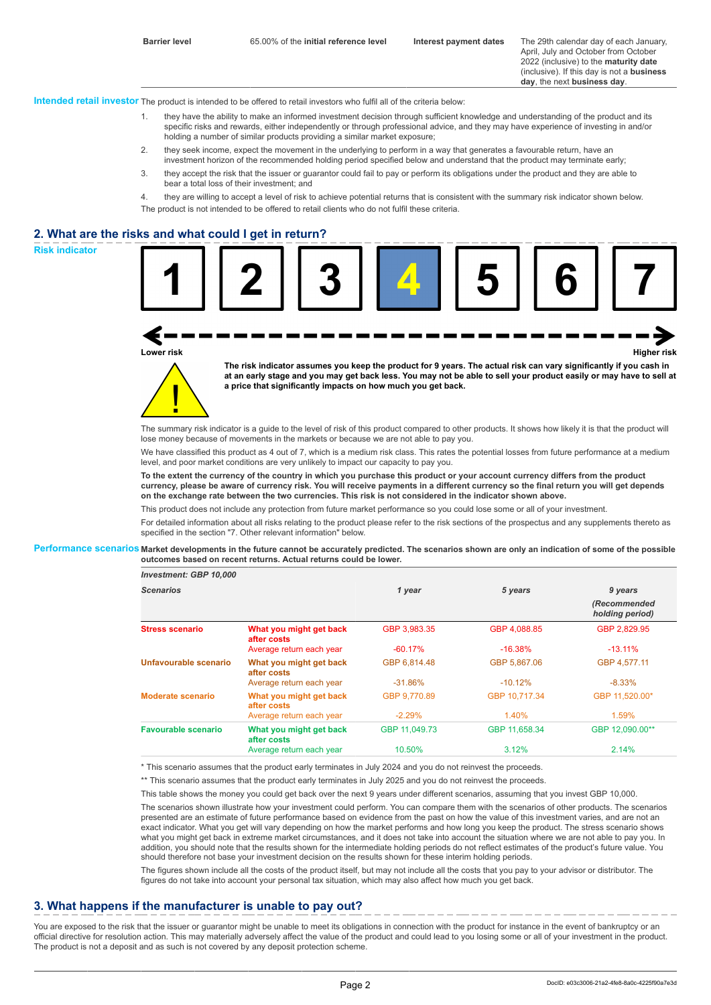April, July and October from October 2022 (inclusive) to the **maturity date** (inclusive). If this day is not a **business day**, the next **business day**.

**Intended retail investor** The product is intended to be offered to retail investors who fulfil all of the criteria below:

- 1. they have the ability to make an informed investment decision through sufficient knowledge and understanding of the product and its specific risks and rewards, either independently or through professional advice, and they may have experience of investing in and/or holding a number of similar products providing a similar market exposure;
- 2. they seek income, expect the movement in the underlying to perform in a way that generates a favourable return, have an investment horizon of the recommended holding period specified below and understand that the product may terminate early;
- 3. they accept the risk that the issuer or guarantor could fail to pay or perform its obligations under the product and they are able to bear a total loss of their investment; and
- 4. they are willing to accept a level of risk to achieve potential returns that is consistent with the summary risk indicator shown below. The product is not intended to be offered to retail clients who do not fulfil these criteria.

## **2. What are the risks and what could I get in return?**





**The risk indicator assumes you keep the product for 9 years. The actual risk can vary significantly if you cash in at an early stage and you may get back less. You may not be able to sell your product easily or may have to sell at a price that significantly impacts on how much you get back.**

The summary risk indicator is a quide to the level of risk of this product compared to other products. It shows how likely it is that the product will lose money because of movements in the markets or because we are not able to pay you.

We have classified this product as 4 out of 7, which is a medium risk class. This rates the potential losses from future performance at a medium level, and poor market conditions are very unlikely to impact our capacity to pay you.

**To the extent the currency of the country in which you purchase this product or your account currency differs from the product currency, please be aware of currency risk. You will receive payments in a different currency so the final return you will get depends on the exchange rate between the two currencies. This risk is not considered in the indicator shown above.**

This product does not include any protection from future market performance so you could lose some or all of your investment.

For detailed information about all risks relating to the product please refer to the risk sections of the prospectus and any supplements thereto as specified in the section "7. Other relevant information" below.

#### **Performance scenarios Market developments in the future cannot be accurately predicted. The scenarios shown are only an indication of some of the possible outcomes based on recent returns. Actual returns could be lower.**

| <b>Scenarios</b>       |                                        | 1 year        | 5 years       | 9 years                         |
|------------------------|----------------------------------------|---------------|---------------|---------------------------------|
|                        |                                        |               |               | (Recommended<br>holding period) |
| <b>Stress scenario</b> | What you might get back<br>after costs | GBP 3,983.35  | GBP 4,088.85  | GBP 2,829.95                    |
|                        | Average return each year               | $-60.17%$     | $-16.38%$     | $-13.11\%$                      |
| Unfavourable scenario  | What you might get back<br>after costs | GBP 6.814.48  | GBP 5.867.06  | GBP 4.577.11                    |
|                        | Average return each year               | $-31.86%$     | $-10.12%$     | $-8.33%$                        |
| Moderate scenario      | What you might get back<br>after costs | GBP 9.770.89  | GBP 10.717.34 | GBP 11.520.00*                  |
|                        | Average return each year               | $-2.29%$      | 1.40%         | 1.59%                           |
| Favourable scenario    | What you might get back<br>after costs | GBP 11.049.73 | GBP 11.658.34 | GBP 12.090.00**                 |
|                        | Average return each year               | 10.50%        | 3.12%         | 2.14%                           |

\* This scenario assumes that the product early terminates in July 2024 and you do not reinvest the proceeds.

\*\* This scenario assumes that the product early terminates in July 2025 and you do not reinvest the proceeds.

This table shows the money you could get back over the next 9 years under different scenarios, assuming that you invest GBP 10,000.

The scenarios shown illustrate how your investment could perform. You can compare them with the scenarios of other products. The scenarios presented are an estimate of future performance based on evidence from the past on how the value of this investment varies, and are not an exact indicator. What you get will vary depending on how the market performs and how long you keep the product. The stress scenario shows what you might get back in extreme market circumstances, and it does not take into account the situation where we are not able to pay you. In addition, you should note that the results shown for the intermediate holding periods do not reflect estimates of the product's future value. You should therefore not base your investment decision on the results shown for these interim holding periods.

The figures shown include all the costs of the product itself, but may not include all the costs that you pay to your advisor or distributor. The figures do not take into account your personal tax situation, which may also affect how much you get back.

## **3. What happens if the manufacturer is unable to pay out?**

You are exposed to the risk that the issuer or quarantor might be unable to meet its obligations in connection with the product for instance in the event of bankruptcy or an official directive for resolution action. This may materially adversely affect the value of the product and could lead to you losing some or all of your investment in the product. The product is not a deposit and as such is not covered by any deposit protection scheme.